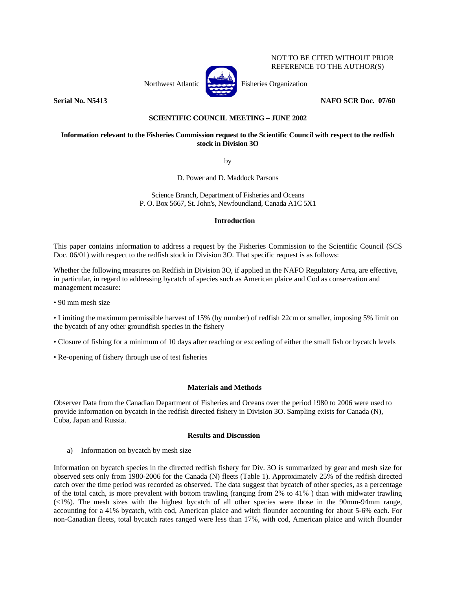

NOT TO BE CITED WITHOUT PRIOR REFERENCE TO THE AUTHOR(S)

## **Serial No. N5413 NAFO SCR Doc. 07/60**

# **SCIENTIFIC COUNCIL MEETING – JUNE 2002**

# **Information relevant to the Fisheries Commission request to the Scientific Council with respect to the redfish stock in Division 3O**

by

D. Power and D. Maddock Parsons

Science Branch, Department of Fisheries and Oceans P. O. Box 5667, St. John's, Newfoundland, Canada A1C 5X1

### **Introduction**

This paper contains information to address a request by the Fisheries Commission to the Scientific Council (SCS Doc. 06/01) with respect to the redfish stock in Division 3O. That specific request is as follows:

Whether the following measures on Redfish in Division 3O, if applied in the NAFO Regulatory Area, are effective, in particular, in regard to addressing bycatch of species such as American plaice and Cod as conservation and management measure:

• 90 mm mesh size

• Limiting the maximum permissible harvest of 15% (by number) of redfish 22cm or smaller, imposing 5% limit on the bycatch of any other groundfish species in the fishery

- Closure of fishing for a minimum of 10 days after reaching or exceeding of either the small fish or bycatch levels
- Re-opening of fishery through use of test fisheries

### **Materials and Methods**

Observer Data from the Canadian Department of Fisheries and Oceans over the period 1980 to 2006 were used to provide information on bycatch in the redfish directed fishery in Division 3O. Sampling exists for Canada (N), Cuba, Japan and Russia.

### **Results and Discussion**

a) Information on bycatch by mesh size

Information on bycatch species in the directed redfish fishery for Div. 3O is summarized by gear and mesh size for observed sets only from 1980-2006 for the Canada (N) fleets (Table 1). Approximately 25% of the redfish directed catch over the time period was recorded as observed. The data suggest that bycatch of other species, as a percentage of the total catch, is more prevalent with bottom trawling (ranging from 2% to 41% ) than with midwater trawling (<1%). The mesh sizes with the highest bycatch of all other species were those in the 90mm-94mm range, accounting for a 41% bycatch, with cod, American plaice and witch flounder accounting for about 5-6% each. For non-Canadian fleets, total bycatch rates ranged were less than 17%, with cod, American plaice and witch flounder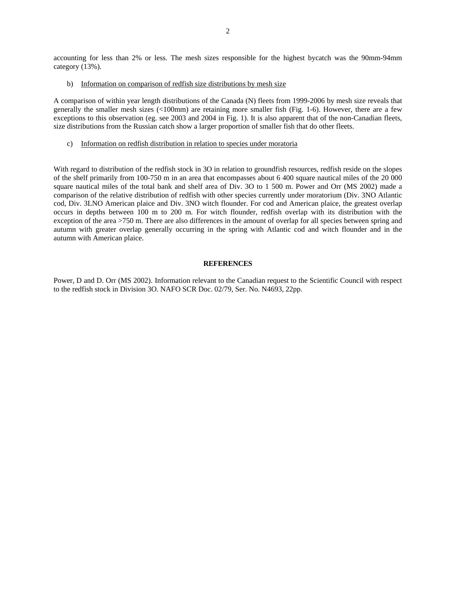accounting for less than 2% or less. The mesh sizes responsible for the highest bycatch was the 90mm-94mm category (13%).

b) Information on comparison of redfish size distributions by mesh size

A comparison of within year length distributions of the Canada (N) fleets from 1999-2006 by mesh size reveals that generally the smaller mesh sizes (<100mm) are retaining more smaller fish (Fig. 1-6). However, there are a few exceptions to this observation (eg. see 2003 and 2004 in Fig. 1). It is also apparent that of the non-Canadian fleets, size distributions from the Russian catch show a larger proportion of smaller fish that do other fleets.

c) Information on redfish distribution in relation to species under moratoria

With regard to distribution of the redfish stock in 3O in relation to groundfish resources, redfish reside on the slopes of the shelf primarily from 100-750 m in an area that encompasses about 6 400 square nautical miles of the 20 000 square nautical miles of the total bank and shelf area of Div. 3O to 1 500 m. Power and Orr (MS 2002) made a comparison of the relative distribution of redfish with other species currently under moratorium (Div. 3NO Atlantic cod, Div. 3LNO American plaice and Div. 3NO witch flounder. For cod and American plaice, the greatest overlap occurs in depths between 100 m to 200 m. For witch flounder, redfish overlap with its distribution with the exception of the area >750 m. There are also differences in the amount of overlap for all species between spring and autumn with greater overlap generally occurring in the spring with Atlantic cod and witch flounder and in the autumn with American plaice.

### **REFERENCES**

Power, D and D. Orr (MS 2002). Information relevant to the Canadian request to the Scientific Council with respect to the redfish stock in Division 3O. NAFO SCR Doc. 02/79, Ser. No. N4693, 22pp.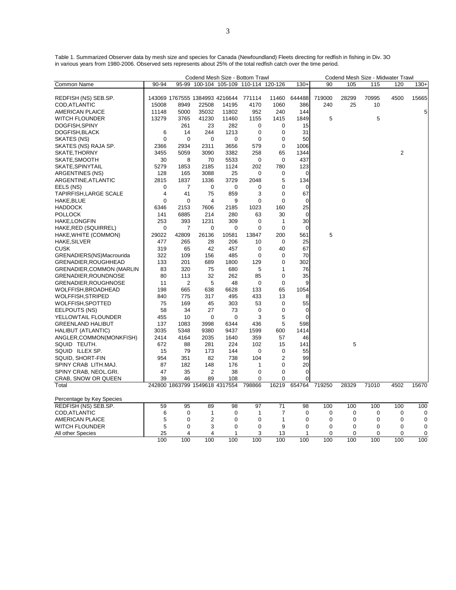Table 1. Summarized Observer data by mesh size and species for Canada (Newfoundland) Fleets directing for redfish in fishing in Div. 3O in various years from 1980-2006. Observed sets represents about 25% of the total redfish catch over the time period.

|                                  |                |              |                                |       | Codend Mesh Size - Bottom Trawl       |                |             |             |       | Codend Mesh Size - Midwater Trawl |                |        |
|----------------------------------|----------------|--------------|--------------------------------|-------|---------------------------------------|----------------|-------------|-------------|-------|-----------------------------------|----------------|--------|
| <b>Common Name</b>               | 90-94          |              |                                |       | 95-99 100-104 105-109 110-114 120-126 |                | $130+$      | 90          | 105   | 115                               | 120            | $130+$ |
|                                  |                |              | 143069 1767555 1384993 4216644 |       | 771114                                | 11460          | 644488      | 719000      | 28299 | 70995                             | 4500           | 15665  |
| REDFISH (NS) SEB.SP.             |                |              |                                |       |                                       |                |             | 240         |       |                                   |                |        |
| COD, ATLANTIC                    | 15008          | 8949<br>5000 | 22508<br>35032                 | 14195 | 4170<br>952                           | 1060<br>240    | 386<br>144  |             | 25    | 10                                |                |        |
| AMERICAN PLAICE                  | 11148          |              |                                | 11802 |                                       |                |             |             |       |                                   |                | 5      |
| WITCH FLOUNDER                   | 13279          | 3765         | 41230                          | 11460 | 1155                                  | 1415           | 1849        | 5           |       | 5                                 |                |        |
| DOGFISH, SPINY                   |                | 261          | 23                             | 282   | 0                                     | $\mathbf 0$    | 15          |             |       |                                   |                |        |
| DOGFISH, BLACK                   | 6              | 14           | 244                            | 1213  | $\mathbf 0$                           | $\mathbf 0$    | 31          |             |       |                                   |                |        |
| SKATES (NS)                      | $\Omega$       | 0            | $\mathbf 0$                    | 0     | 0                                     | 0              | 50          |             |       |                                   |                |        |
| SKATES (NS) RAJA SP.             | 2366           | 2934         | 2311                           | 3656  | 579                                   | $\mathbf 0$    | 1006        |             |       |                                   |                |        |
| SKATE,THORNY                     | 3455           | 5059         | 3090                           | 3382  | 258                                   | 65             | 1344        |             |       |                                   | $\overline{2}$ |        |
| SKATE, SMOOTH                    | 30             | 8            | 70                             | 5533  | 0                                     | 0              | 437         |             |       |                                   |                |        |
| SKATE, SPINYTAIL                 | 5279           | 1853         | 2185                           | 1124  | 202                                   | 780            | 123         |             |       |                                   |                |        |
| ARGENTINES (NS)                  | 128            | 165          | 3088                           | 25    | 0                                     | 0              | 0           |             |       |                                   |                |        |
| ARGENTINE, ATLANTIC              | 2815           | 1837         | 1336                           | 3729  | 2048                                  | 5              | 134         |             |       |                                   |                |        |
| EELS (NS)                        | $\mathbf 0$    | 7            | 0                              | 0     | $\mathbf 0$                           | 0              | $\mathbf 0$ |             |       |                                   |                |        |
| <b>TAPIRFISH, LARGE SCALE</b>    | $\overline{4}$ | 41           | 75                             | 859   | 3                                     | 0              | 67          |             |       |                                   |                |        |
| HAKE, BLUE                       | $\mathbf 0$    | 0            | $\overline{4}$                 | 9     | $\mathbf 0$                           | $\mathbf 0$    | $\mathbf 0$ |             |       |                                   |                |        |
| <b>HADDOCK</b>                   | 6346           | 2153         | 7606                           | 2185  | 1023                                  | 160            | 25          |             |       |                                   |                |        |
| <b>POLLOCK</b>                   | 141            | 6885         | 214                            | 280   | 63                                    | 30             | $\mathbf 0$ |             |       |                                   |                |        |
| HAKE,LONGFIN                     | 253            | 393          | 1231                           | 309   | $\mathbf 0$                           | 1              | 30          |             |       |                                   |                |        |
| HAKE, RED (SQUIRREL)             | 0              | 7            | 0                              | 0     | 0                                     | $\mathbf 0$    | $\mathbf 0$ |             |       |                                   |                |        |
| HAKE, WHITE (COMMON)             | 29022          | 42809        | 26136                          | 10581 | 13847                                 | 200            | 561         | 5           |       |                                   |                |        |
| HAKE, SILVER                     | 477            | 265          | 28                             | 206   | 10                                    | $\mathbf 0$    | 25          |             |       |                                   |                |        |
| <b>CUSK</b>                      | 319            | 65           | 42                             | 457   | 0                                     | 40             | 67          |             |       |                                   |                |        |
| GRENADIERS(NS)Macrourida         | 322            | 109          | 156                            | 485   | $\mathbf 0$                           | $\mathbf 0$    | 70          |             |       |                                   |                |        |
| GRENADIER, ROUGHHEAD             | 133            | 201          | 689                            | 1800  | 129                                   | 0              | 302         |             |       |                                   |                |        |
| <b>GRENADIER, COMMON (MARLIN</b> | 83             | 320          | 75                             | 680   | 5                                     | 1              | 76          |             |       |                                   |                |        |
| GRENADIER, ROUNDNOSE             | 80             | 113          | 32                             | 262   | 85                                    | $\mathbf 0$    | 35          |             |       |                                   |                |        |
| GRENADIER, ROUGHNOSE             | 11             | 2            | 5                              | 48    | $\mathbf 0$                           | $\mathbf 0$    | 9           |             |       |                                   |                |        |
| WOLFFISH,BROADHEAD               | 198            | 665          | 638                            | 6628  | 133                                   | 65             | 1054        |             |       |                                   |                |        |
| WOLFFISH,STRIPED                 | 840            | 775          | 317                            | 495   | 433                                   | 13             | 8           |             |       |                                   |                |        |
| WOLFFISH, SPOTTED                | 75             | 169          | 45                             | 303   | 53                                    | 0              | 55          |             |       |                                   |                |        |
| EELPOUTS (NS)                    | 58             | 34           | 27                             | 73    | $\mathbf 0$                           | $\mathbf 0$    | $\mathbf 0$ |             |       |                                   |                |        |
| YELLOWTAIL FLOUNDER              | 455            | 10           | 0                              | 0     | 3                                     | 5              | $\mathbf 0$ |             |       |                                   |                |        |
| <b>GREENLAND HALIBUT</b>         | 137            | 1083         | 3998                           | 6344  | 436                                   | 5              | 598         |             |       |                                   |                |        |
| HALIBUT (ATLANTIC)               | 3035           | 5348         | 9380                           | 9437  | 1599                                  | 600            | 1414        |             |       |                                   |                |        |
| ANGLER, COMMON(MONKFISH)         | 2414           | 4164         | 2035                           | 1640  | 359                                   | 57             | 46          |             |       |                                   |                |        |
| SQUID TEUTH.                     | 672            | 88           | 281                            | 224   | 102                                   | 15             | 141         |             | 5     |                                   |                |        |
| SQUID ILLEX SP.                  | 15             | 79           | 173                            | 144   | 0                                     | $\mathbf 0$    | 55          |             |       |                                   |                |        |
| SQUID, SHORT-FIN                 | 954            | 351          | 82                             | 738   | 104                                   | 2              | 99          |             |       |                                   |                |        |
| SPINY CRAB LITH.MAJ.             | 87             | 182          | 148                            | 176   | 1                                     | $\Omega$       | 20          |             |       |                                   |                |        |
| SPINY CRAB, NEOL.GRI.            | 47             | 35           | $\overline{2}$                 | 38    | $\mathbf 0$                           | 0              | $\mathbf 0$ |             |       |                                   |                |        |
| CRAB, SNOW OR QUEEN              | 39             | 46           | 89                             | 108   | 0                                     | 0              | $\Omega$    |             |       |                                   |                |        |
| Total                            |                |              | 242800 1863799 1549618 4317554 |       | 798866                                | 16219          | 654764      | 719250      | 28329 | 71010                             | 4502           | 15670  |
|                                  |                |              |                                |       |                                       |                |             |             |       |                                   |                |        |
| Percentage by Key Species        |                |              |                                |       |                                       |                |             |             |       |                                   |                |        |
| REDFISH (NS) SEB.SP.             | 59             | 95           | 89                             | 98    | 97                                    | 71             | 98          | 100         | 100   | 100                               | 100            | 100    |
| COD, ATLANTIC                    | 6              | 0            | 1                              | 0     | 1                                     | $\overline{7}$ | $\mathbf 0$ | $\mathbf 0$ | 0     | 0                                 | 0              | 0      |
| <b>AMERICAN PLAICE</b>           | 5              | 0            | $\overline{2}$                 | 0     | 0                                     | 1              | 0           | 0           | 0     | 0                                 | 0              | 0      |
| <b>WITCH FLOUNDER</b>            | 5              | 0            | 3                              | 0     | 0                                     | 9              | $\mathbf 0$ | $\mathbf 0$ | 0     | 0                                 | 0              | 0      |
| All other Species                | 25             | 4            | 4                              | 1     | 3                                     | 13             | 1           | $\mathbf 0$ | 0     | 0                                 | 0              | 0      |
|                                  | 100            | 100          | 100                            | 100   | 100                                   | 100            | 100         | 100         | 100   | 100                               | 100            | 100    |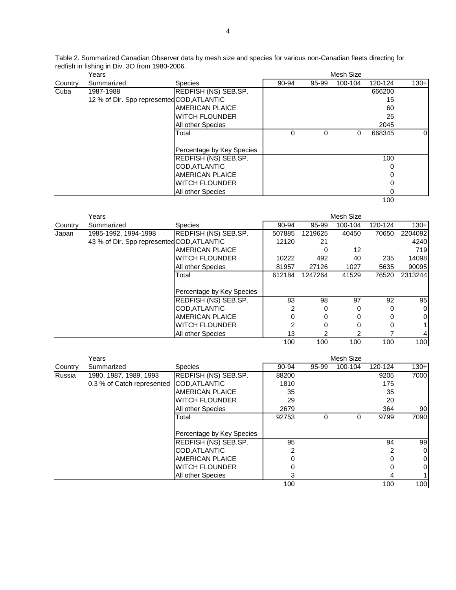|                                               | Table 2. Summarized Canadian Observer data by mesh size and species for various non-Canadian fleets directing for |
|-----------------------------------------------|-------------------------------------------------------------------------------------------------------------------|
| redfish in fishing in Div. 30 from 1980-2006. |                                                                                                                   |

|         | Years                                      |                           | Mesh Size |       |         |         |          |
|---------|--------------------------------------------|---------------------------|-----------|-------|---------|---------|----------|
| Country | Summarized                                 | <b>Species</b>            | 90-94     | 95-99 | 100-104 | 120-124 | $130+$   |
| Cuba    | 1987-1988                                  | REDFISH (NS) SEB.SP.      |           |       |         | 666200  |          |
|         | 12 % of Dir. Spp represented COD, ATLANTIC |                           |           |       |         | 15      |          |
|         |                                            | AMERICAN PLAICE           |           |       |         | 60      |          |
|         |                                            | <b>IWITCH FLOUNDER</b>    |           |       |         | 25      |          |
|         |                                            | All other Species         |           |       |         | 2045    |          |
|         |                                            | Total                     | 0         | 0     | 0       | 668345  | $\Omega$ |
|         |                                            |                           |           |       |         |         |          |
|         |                                            | Percentage by Key Species |           |       |         |         |          |
|         |                                            | REDFISH (NS) SEB.SP.      |           |       |         | 100     |          |
|         |                                            | COD, ATLANTIC             |           |       |         | 0       |          |
|         |                                            | AMERICAN PLAICE           |           |       |         |         |          |
|         |                                            | <b>IWITCH FLOUNDER</b>    |           |       |         | 0       |          |
|         |                                            | All other Species         |           |       |         | 0       |          |
|         |                                            |                           |           |       |         | 100     |          |

|         | Years                                      |                           |        |         | Mesh Size |         |                |
|---------|--------------------------------------------|---------------------------|--------|---------|-----------|---------|----------------|
| Country | Summarized                                 | <b>Species</b>            | 90-94  | 95-99   | 100-104   | 120-124 | $130 +$        |
| Japan   | 1985-1992, 1994-1998                       | REDFISH (NS) SEB.SP.      | 507885 | 1219625 | 40450     | 70650   | 2204092        |
|         | 43 % of Dir. Spp represented COD, ATLANTIC |                           | 12120  | 21      |           |         | 4240           |
|         |                                            | <b>AMERICAN PLAICE</b>    |        | 0       | 12        |         | 719            |
|         |                                            | <b>WITCH FLOUNDER</b>     | 10222  | 492     | 40        | 235     | 14098          |
|         |                                            | All other Species         | 81957  | 27126   | 1027      | 5635    | 90095          |
|         |                                            | Total                     | 612184 | 1247264 | 41529     | 76520   | 2313244        |
|         |                                            |                           |        |         |           |         |                |
|         |                                            | Percentage by Key Species |        |         |           |         |                |
|         |                                            | REDFISH (NS) SEB.SP.      | 83     | 98      | 97        | 92      | 95             |
|         |                                            | COD, ATLANTIC             | 2      | 0       | 0         | 0       | $\overline{0}$ |
|         |                                            | AMERICAN PLAICE           | 0      | 0       | 0         |         | $\Omega$       |
|         |                                            | WITCH FLOUNDER            | 2      | 0       | 0         | 0       |                |
|         |                                            | All other Species         | 13     | 2       | 2         |         |                |
|         |                                            |                           | 100    | 100     | 100       | 100     | 100            |

|         | Years                                    |                           |       | Mesh Size |         |         |          |  |  |
|---------|------------------------------------------|---------------------------|-------|-----------|---------|---------|----------|--|--|
| Country | Summarized                               | <b>Species</b>            | 90-94 | 95-99     | 100-104 | 120-124 | $130+$   |  |  |
| Russia  | 1980, 1987, 1989, 1993                   | REDFISH (NS) SEB.SP.      | 88200 |           |         | 9205    | 7000     |  |  |
|         | 0.3 % of Catch represented COD, ATLANTIC |                           | 1810  |           |         | 175     |          |  |  |
|         |                                          | AMERICAN PLAICE           | 35    |           |         | 35      |          |  |  |
|         |                                          | IWITCH FLOUNDER           | 29    |           |         | 20      |          |  |  |
|         |                                          | All other Species         | 2679  |           |         | 364     | 90       |  |  |
|         |                                          | Total                     | 92753 | 0         | 0       | 9799    | 7090     |  |  |
|         |                                          |                           |       |           |         |         |          |  |  |
|         |                                          | Percentage by Key Species |       |           |         |         |          |  |  |
|         |                                          | REDFISH (NS) SEB.SP.      | 95    |           |         | 94      | 99       |  |  |
|         |                                          | COD, ATLANTIC             |       |           |         | 2       | 0        |  |  |
|         |                                          | AMERICAN PLAICE           |       |           |         |         | $\Omega$ |  |  |
|         |                                          | IWITCH FLOUNDER           |       |           |         |         | 0        |  |  |
|         |                                          | All other Species         |       |           |         | 4       |          |  |  |
|         |                                          |                           | 100   |           |         | 100     | 100      |  |  |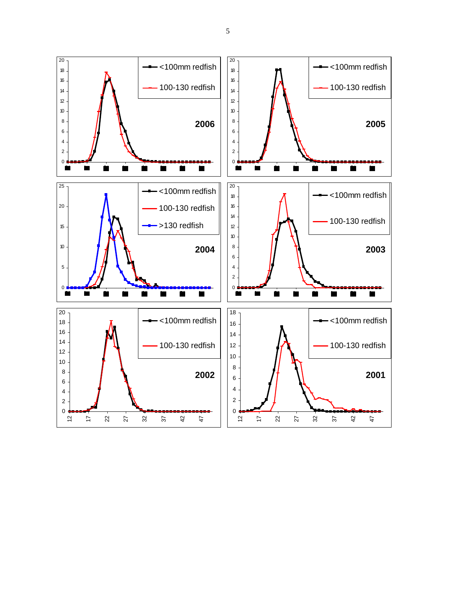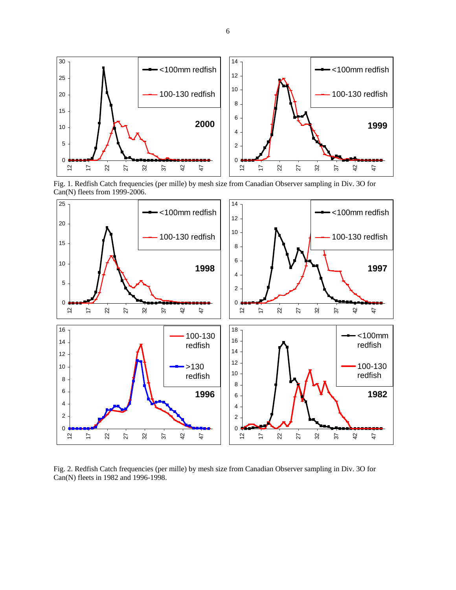

Fig. 1. Redfish Catch frequencies (per mille) by mesh size from Canadian Observer sampling in Div. 3O for Can(N) fleets from 1999-2006.



Fig. 2. Redfish Catch frequencies (per mille) by mesh size from Canadian Observer sampling in Div. 3O for Can(N) fleets in 1982 and 1996-1998.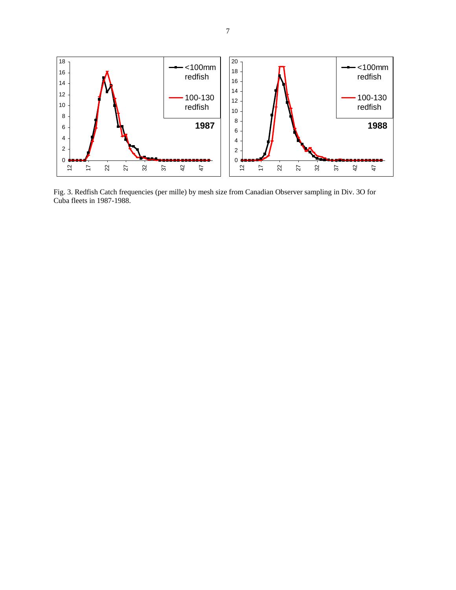

Fig. 3. Redfish Catch frequencies (per mille) by mesh size from Canadian Observer sampling in Div. 3O for Cuba fleets in 1987-1988.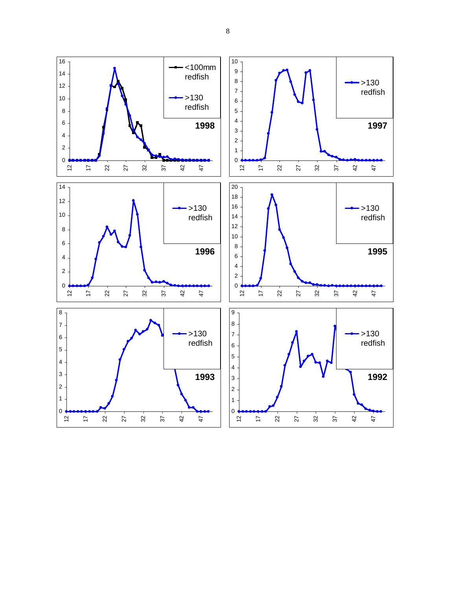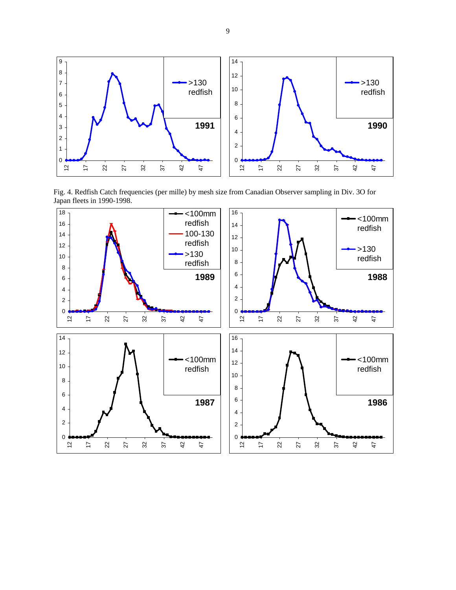

Fig. 4. Redfish Catch frequencies (per mille) by mesh size from Canadian Observer sampling in Div. 3O for Japan fleets in 1990-1998.

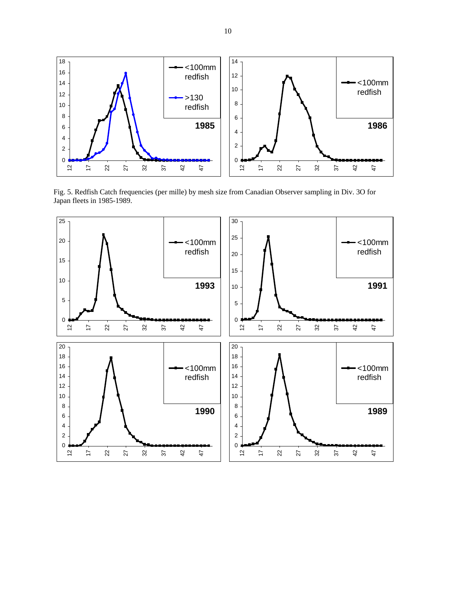

Fig. 5. Redfish Catch frequencies (per mille) by mesh size from Canadian Observer sampling in Div. 3O for Japan fleets in 1985-1989.